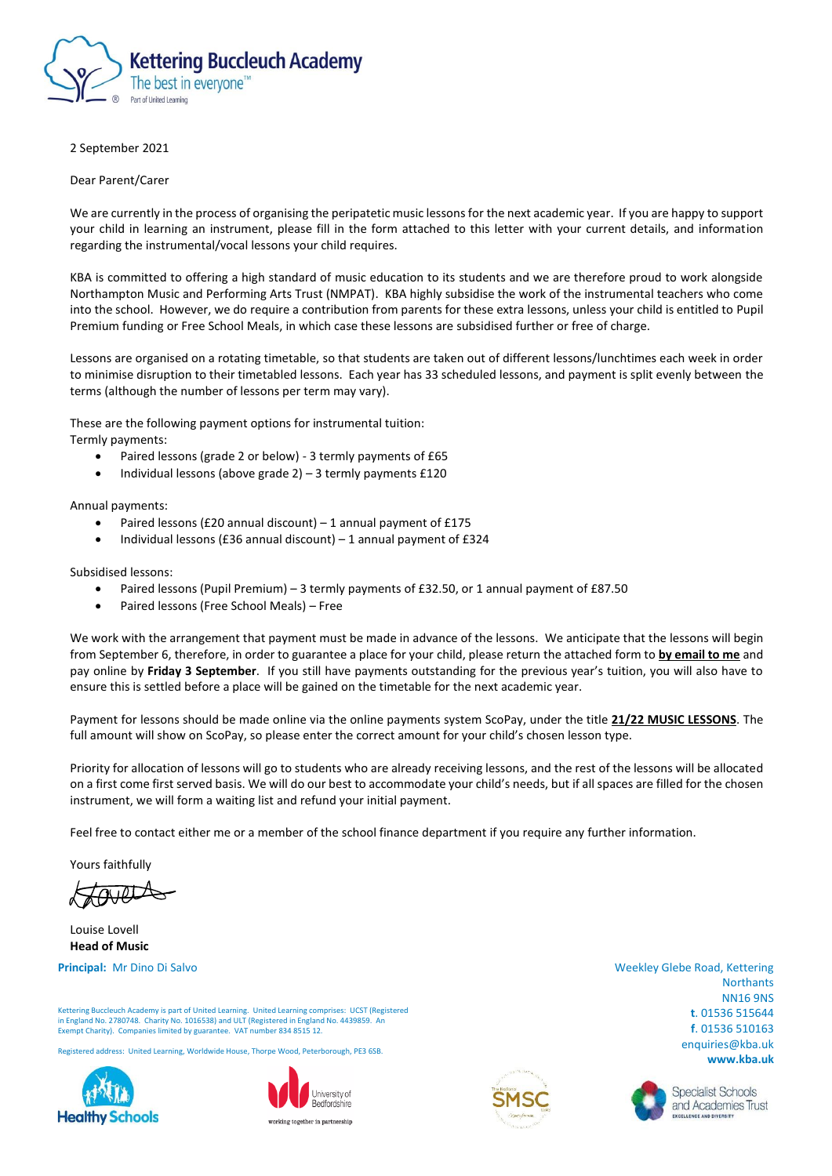

## 2 September 2021

Dear Parent/Carer

We are currently in the process of organising the peripatetic music lessons for the next academic year. If you are happy to support your child in learning an instrument, please fill in the form attached to this letter with your current details, and information regarding the instrumental/vocal lessons your child requires.

KBA is committed to offering a high standard of music education to its students and we are therefore proud to work alongside Northampton Music and Performing Arts Trust (NMPAT). KBA highly subsidise the work of the instrumental teachers who come into the school. However, we do require a contribution from parents for these extra lessons, unless your child is entitled to Pupil Premium funding or Free School Meals, in which case these lessons are subsidised further or free of charge.

Lessons are organised on a rotating timetable, so that students are taken out of different lessons/lunchtimes each week in order to minimise disruption to their timetabled lessons. Each year has 33 scheduled lessons, and payment is split evenly between the terms (although the number of lessons per term may vary).

These are the following payment options for instrumental tuition: Termly payments:

- Paired lessons (grade 2 or below) 3 termly payments of £65
- Individual lessons (above grade 2) 3 termly payments £120

Annual payments:

- Paired lessons (£20 annual discount) 1 annual payment of £175
- Individual lessons (£36 annual discount) 1 annual payment of £324

Subsidised lessons:

- Paired lessons (Pupil Premium) 3 termly payments of £32.50, or 1 annual payment of £87.50
- Paired lessons (Free School Meals) Free

We work with the arrangement that payment must be made in advance of the lessons. We anticipate that the lessons will begin from September 6, therefore, in order to guarantee a place for your child, please return the attached form to **by email to me** and pay online by **Friday 3 September**. If you still have payments outstanding for the previous year's tuition, you will also have to ensure this is settled before a place will be gained on the timetable for the next academic year.

Payment for lessons should be made online via the online payments system ScoPay, under the title **21/22 MUSIC LESSONS**. The full amount will show on ScoPay, so please enter the correct amount for your child's chosen lesson type.

Priority for allocation of lessons will go to students who are already receiving lessons, and the rest of the lessons will be allocated on a first come first served basis. We will do our best to accommodate your child's needs, but if all spaces are filled for the chosen instrument, we will form a waiting list and refund your initial payment.

Feel free to contact either me or a member of the school finance department if you require any further information.

Yours faithfully

Louise Lovell **Head of Music**

**Principal:** Mr Dino Di Salvo

Kettering Buccleuch Academy is part of United Learning. United Learning comprises: UCST (Registered in England No. 2780748. Charity No. 1016538) and ULT (Registered in England No. 4439859. An Exempt Charity). Companies limited by guarantee. VAT number 834 8515 12.

Registered address: United Learning, Worldwide House, Thorpe Wood, Peterborough, PE3 6SB.







Weekley Glebe Road, Kettering **Northants** NN16 9NS **t**. 01536 515644 **f**. 01536 510163 enquiries@kba.uk **www.kba.uk**